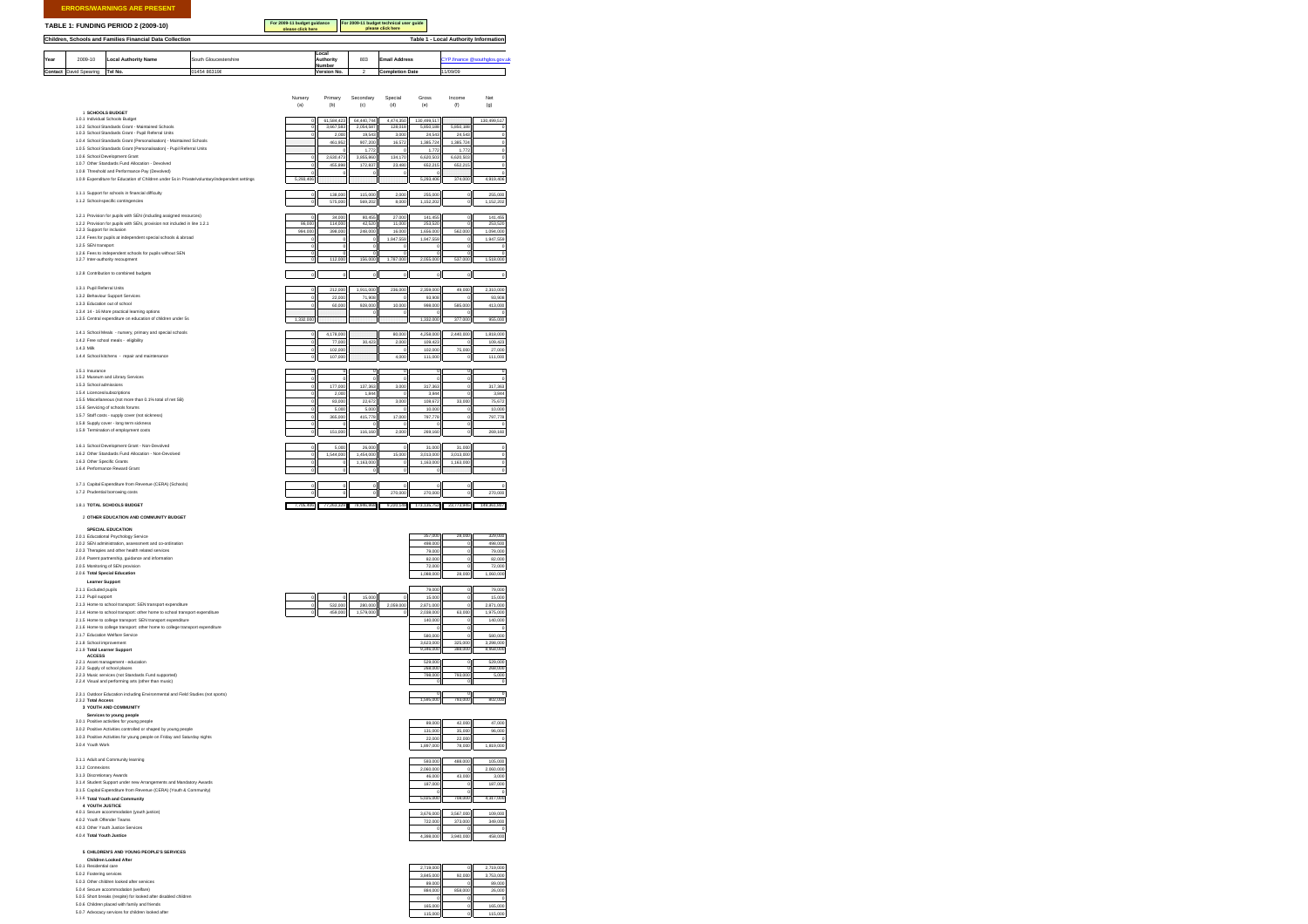**ERRORS/WARNINGS ARE PRESENT**

## **TABLE 1: FUNDING PERIOD 2 (2009-10)**

**Children, Schools and Families Financial Data Collection**

**For 2009-11 budget guidance please click here For 2009-11 budget technical user guide please click here**

**Table 1 - Local Authority Information**

|      |                               |                             |                       | Local            |     |                        |                     |
|------|-------------------------------|-----------------------------|-----------------------|------------------|-----|------------------------|---------------------|
| Year | 2009-10                       | <b>Local Authority Name</b> | South Gloucestershire | <b>Authority</b> | 803 | <b>Email Address</b>   | s @southglos.gov.ul |
|      |                               |                             |                       | Number           |     |                        |                     |
|      | <b>Contact</b> David Spearing | Tel No.                     | 01454 863198          | Version No.      |     | <b>Completion Date</b> | 11/09/09            |

|                                                                                                                 | Nursery<br>(a)            | Primary<br>(b)                  | Secondary<br>(c)        | Special<br>(d)       | Gross<br>(e)                     | Income<br>(f)            | Net<br>(q)                      |
|-----------------------------------------------------------------------------------------------------------------|---------------------------|---------------------------------|-------------------------|----------------------|----------------------------------|--------------------------|---------------------------------|
| 1 SCHOOLS BUDGET<br>1.0.1 Individual Schools Budget                                                             |                           |                                 |                         |                      |                                  |                          |                                 |
| 1.0.2 School Standards Grant - Maintained Schools                                                               |                           | 61,584,423<br>3,667,583         | 64,440,744<br>2,054,587 | 4,474,350<br>128,018 | 130,499,517<br>5,850,18          | 5,850,18                 | 130,499,517                     |
| 1.0.3 School Standards Grant - Pupil Referral Units                                                             |                           | 2,00                            | 19,543                  | 3,000                | 24,54                            | 24,54                    |                                 |
| 1.0.4 School Standards Grant (Personalisation) - Maintained Schools                                             |                           | 461,95                          | 907,200                 | 16,572               | 1,385,72                         | 1,385,72                 |                                 |
| 1.0.5 School Standards Grant (Personalisation) - Pupil Referral Units                                           |                           |                                 | 1,772                   |                      | 1,772                            | 1,772                    |                                 |
| 1.0.6 School Development Grant                                                                                  |                           | 2,630,473                       | 3,855,860               | 134,170              | 6,620,503                        | 6,620,503                |                                 |
| 1.0.7 Other Standards Fund Allocation - Devolved                                                                |                           | 455,898                         | 172,837                 | 23,480               | 652,215                          | 652,215                  |                                 |
| 1.0.8 Threshold and Performance Pay (Devolved)                                                                  |                           |                                 |                         | $\circ$              |                                  |                          |                                 |
| 1.0.9 Expenditure for Education of Children under 5s in Private/voluntary/independent settings                  |                           |                                 |                         |                      | 293.406                          | 374,000                  | 4,919,406                       |
| 1.1.1 Support for schools in financial difficulty                                                               | o                         | 138,000                         | 115,000                 | 2,000                | 255,000                          | $\circ$                  | 255,000                         |
| 1.1.2 School-specific contingencies                                                                             | $\circ$                   | 575,000                         | 569.202                 | 8,000                | 1,152,202                        | $\overline{\phantom{0}}$ | 1,152,202                       |
| 1.2.1 Provision for pupils with SEN (including assigned resources)                                              |                           | 34,000                          | 80,45                   | 27,000               | 141,455                          | $\overline{\mathbf{0}}$  | 141,455                         |
| 1.2.2 Provision for pupils with SEN, provision not included in line 1.2.1                                       | 86,000                    | 114,000                         | 42,520                  | 11,000               | 253,520                          |                          | 253,520                         |
| 1.2.3 Support for inclusion                                                                                     | 994,000                   | 398,000                         | 248,000                 | 16,000               | 1,656,000                        | 562.000                  | 1.094.000                       |
| 1.2.4 Fees for pupils at independent special schools & abroad                                                   |                           |                                 |                         | 1,947,559            | 1,947,559                        |                          | 1,947,559                       |
| 1.2.5 SEN transport                                                                                             | $\overline{a}$            |                                 |                         |                      |                                  |                          |                                 |
| 1.2.6 Fees to independent schools for pupils without SEN                                                        |                           | 112,000                         | 156,000                 | 1,787,000            | 2,055,000                        | 537,000                  |                                 |
| 1.2.7 Inter-authority recoupment                                                                                |                           |                                 |                         |                      |                                  |                          | 1,518,000                       |
| 1.2.8 Contribution to combined budgets                                                                          | $\circ$                   | $\mathsf{d}$                    | $\circ$                 | $\circ$              | $\circ$                          | $\circ$                  | $\circ$                         |
| 1.3.1 Pupil Referral Units                                                                                      |                           |                                 |                         |                      |                                  |                          |                                 |
| 1.3.2 Behaviour Support Services                                                                                |                           | 212,000                         | 1,911,000               | 236,000              | 2,359,000                        | 49,000                   | 2,310,000                       |
| 1.3.3 Education out of school                                                                                   | $\circ$                   | 22,000                          | 71,908                  | $\circ$              | 93,908                           |                          | 93,908                          |
| 1.3.4 14 - 16 More practical learning options                                                                   |                           | 60,000                          | 928,000                 | 10,000               | 998,000                          | 585,000                  | 413,000                         |
| 1.3.5 Central expenditure on education of children under 5s                                                     | 1,332,000                 |                                 |                         | $\circ$              | 1.332,000                        | 377,000                  | 955,000                         |
|                                                                                                                 |                           |                                 |                         |                      |                                  |                          |                                 |
| 1.4.1 School Meals - nursery, primary and special schools                                                       |                           | 4,178,00                        |                         | 80,000               | 4,258,000                        | 2,440,000                | 1,818,000                       |
| 1.4.2 Free school meals - eligibility                                                                           |                           | 77,000                          | 30,42                   | 2,000                | 109,423                          |                          | 109,423                         |
| 1.4.3 Milk                                                                                                      |                           | 102,000                         |                         | ¢                    | 102,000                          | 75,000                   | 27,000                          |
| 1.4.4 School kitchens - repair and maintenance                                                                  |                           | 107,000                         |                         | 4,000                | 111,000                          |                          | 111,000                         |
| 1.5.1 Insurance                                                                                                 | o                         | $\overline{0}$                  | $\overline{1}$          | $\overline{0}$       |                                  | $\overline{0}$           | 'n                              |
| 1.5.2 Museum and Library Services                                                                               | $\Omega$                  | $\Omega$                        | $\Omega$                | $\Omega$             | $\Omega$                         | ø                        | $\overline{a}$                  |
| 1.5.3 School admissions                                                                                         | $\Omega$                  | 177,000                         | 137.363                 | 3.000                | 317.363                          | ø                        | 317,363                         |
| 1.5.4 Licences/subscriptions                                                                                    | d                         | 2,000                           | 1,844                   | $\circ$              | 3,844                            |                          | 3,844                           |
| 1.5.5 Miscellaneous (not more than 0.1% total of net SB)                                                        |                           | 83,000                          | 22,672                  | 3,000                | 108,672                          | 33,000                   | 75,672                          |
| 1.5.6 Servicing of schools forums                                                                               |                           | 5,000                           | 5,000                   | $\circ$              | 10,000                           |                          | 10,000                          |
| 1.5.7 Staff costs - supply cover (not sickness)                                                                 |                           | 365,000                         | 415,778                 | 17,000               | 797,778                          |                          | 797,778                         |
| 1.5.8 Supply cover - long term sickness                                                                         | $\circ$                   |                                 |                         | $\circ$              |                                  |                          |                                 |
| 1.5.9 Termination of employment costs                                                                           | $\circ$                   | 151,000                         | 116,160                 | 2,000                | 269,160                          | $\circ$                  | 269,160                         |
| 1.6.1 School Development Grant - Non-Devolved                                                                   |                           |                                 |                         |                      |                                  |                          |                                 |
| 1.6.2 Other Standards Fund Allocation - Non-Devolved                                                            | $\circ$<br>$\overline{0}$ | 5,000                           | 26,000                  | $\circ$              | 31,000                           | 31,000                   | o                               |
| 1.6.3 Other Specific Grants                                                                                     |                           | 1,544,000                       | 1,454,000               | 15,000               | 3,013,000                        | 3,013,000                | $\overline{\phantom{0}}$        |
| 1.6.4 Performance Reward Grant                                                                                  | $\mathbf{0}$              | d                               | 1,163,000               | $\mathbf{0}$         | 1,163,000                        | 1,163,000                | $\circ$                         |
|                                                                                                                 | $\circ$                   | $\circ$                         | $\circ$                 | $\circ$              | $\circ$                          |                          | $\overline{0}$                  |
| 1.7.1 Capital Expenditure from Revenue (CERA) (Schools)                                                         | $\circ$                   | $\circ$                         | $\theta$                | $\overline{a}$       | $\overline{a}$                   | $\Omega$                 | $\overline{a}$                  |
| 1.7.2 Prudential borrowing costs                                                                                | $\circ$                   | $\circ$                         | $\circ$                 | 270,000              | 270,000                          | $\Omega$                 | 270,000                         |
| 1.8.1 TOTAL SCHOOLS BUDGET                                                                                      |                           | 7,705,406 77,263,329 78,946,868 |                         |                      | 9,220,149 173,135,752 23,773,945 |                          | 149.361.807                     |
| 2 OTHER EDUCATION AND COMMUNITY BUDGET                                                                          |                           |                                 |                         |                      |                                  |                          |                                 |
| <b>SPECIAL EDUCATION</b>                                                                                        |                           |                                 |                         |                      |                                  |                          |                                 |
| 2.0.1 Educational Psychology Service                                                                            |                           |                                 |                         |                      | 357.000                          | a noo                    | 329,000                         |
| 2.0.2 SEN administration, assessment and co-ordination                                                          |                           |                                 |                         |                      | 498,000                          |                          | 498,000                         |
| 2.0.3 Therapies and other health related services                                                               |                           |                                 |                         |                      | 79,000                           |                          | 79,000                          |
| 2.0.4 Parent partnership, guidance and information                                                              |                           |                                 |                         |                      | 82,000                           |                          | 82,000                          |
| 2.0.5 Monitoring of SEN provision                                                                               |                           |                                 |                         |                      | 72,000                           |                          | 72,000                          |
| 2.0.6 Total Special Education                                                                                   |                           |                                 |                         |                      | 1,088,000                        | 28,000                   | 1,060,000                       |
| Learner Support                                                                                                 |                           |                                 |                         |                      |                                  |                          |                                 |
| 2.1.1 Excluded pupils                                                                                           |                           |                                 |                         |                      | 79,000                           | d                        | 79,000                          |
| 2.1.2 Pupil support                                                                                             |                           |                                 | 15,000                  | o                    | 15,000                           |                          | 15,000                          |
| 2.1.3 Home to school transport: SEN transport expenditure                                                       |                           | 532,000                         | 280.000                 | 2.059.000            | 2.871.000                        |                          | 2.871.000                       |
| 2.1.4 Home to school transport: other home to school transport expenditure                                      |                           |                                 | 1.579.000               |                      | 2.038.000                        | 63,000                   | 1.975.000                       |
| 2.1.5 Home to college transport: SEN transport expenditure                                                      |                           |                                 |                         |                      | 140,000                          |                          | 140,000                         |
| 2.1.6 Home to college transport: other home to college transport expenditure<br>2.1.7 Education Welfare Service |                           |                                 |                         |                      |                                  |                          |                                 |
|                                                                                                                 |                           |                                 |                         |                      | 580,000                          |                          | 580,000                         |
| 2.1.8 School improvement<br>2.1.9 Total Learner Support                                                         |                           |                                 |                         |                      | 3.623.00<br>9.346.000            | 325,000<br>8.000         | 3,298,000<br>8,958,000          |
| <b>ACCESS</b>                                                                                                   |                           |                                 |                         |                      |                                  |                          |                                 |
| 2.2.1 Asset management - education                                                                              |                           |                                 |                         |                      | 529,000                          | o                        | 529,000                         |
| 2.2.2 Supply of school places<br>2.2.3 Music services (not Standards Fund supported)                            |                           |                                 |                         |                      | 268,00<br>798,000                | 793,000                  | 268,000<br>5,000                |
| 2.2.4 Visual and performing arts (other than music)                                                             |                           |                                 |                         |                      |                                  |                          |                                 |
| 2.3.1 Outdoor Education including Environmental and Field Studies (not sports)                                  |                           |                                 |                         |                      |                                  |                          |                                 |
| 2.3.2 Total Access                                                                                              |                           |                                 |                         |                      | 1,595,000                        | 793,000                  | 802.000                         |
| 3 YOUTH AND COMMUNITY                                                                                           |                           |                                 |                         |                      |                                  |                          |                                 |
| Services to young people                                                                                        |                           |                                 |                         |                      |                                  |                          |                                 |
| 3.0.1 Positive activities for young people                                                                      |                           |                                 |                         |                      | 89,000                           | 42,000                   | 47,000                          |
| 3.0.2 Positive Activities controlled or shaped by young people                                                  |                           |                                 |                         |                      | 131,000                          | 35,000                   | 96,000                          |
| 3.0.3 Positive Activities for young people on Friday and Saturday nights<br>3.0.4 Youth Work                    |                           |                                 |                         |                      | 22,000                           | 22,000                   |                                 |
|                                                                                                                 |                           |                                 |                         |                      | 1,897,000                        | 78,000                   | 1,819,000                       |
| 3.1.1 Adult and Community learning                                                                              |                           |                                 |                         |                      | 593,000                          | 488,000                  | 105,000                         |
| 3.1.2 Connexions                                                                                                |                           |                                 |                         |                      | 2,060,000                        |                          | 2,060,000                       |
| 3.1.3 Discretionary Awards                                                                                      |                           |                                 |                         |                      | 46,000                           | 43,000                   | 3,000                           |
| 3.1.4 Student Support under new Arrangements and Mandatory Awards                                               |                           |                                 |                         |                      | 187,000                          |                          | 187,000                         |
| 3.1.5 Capital Expenditure from Revenue (CERA) (Youth & Community)                                               |                           |                                 |                         |                      |                                  |                          |                                 |
| 3.1.6 Total Youth and Con<br>unity                                                                              |                           |                                 |                         |                      |                                  |                          |                                 |
|                                                                                                                 |                           |                                 |                         |                      | 5,025,000                        |                          |                                 |
| 4 YOUTH JUSTICE                                                                                                 |                           |                                 |                         |                      |                                  |                          |                                 |
| 4.0.1 Secure accommodation (youth justice)                                                                      |                           |                                 |                         |                      | 3,676,000                        | 3,567,000                |                                 |
| 4.0.2 Youth Offender Teams<br>4.0.3 Other Youth Justice Services                                                |                           |                                 |                         |                      | 722,000                          | 373,000                  | 4,317,000<br>109,000<br>349,000 |

- 
- Capital Expenditure from Revenue (CERA) (Youth & Community)
- **Total Youth and Community**
- 
- 
- 
- 
- 4.0.4 **Total Youth Justice**4,398,000 3,940,000 458,000

## **CHILDREN'S AND YOUNG PEOPLE'S SERVICES**

- 
- 
- 
- 
- s CHILDREYS AND YOUND PEOPLE'S SERVICES<br>EAD FROM THE CONSIDERATION OF THE CONSIDERATION OF THE CONSIDERATION OF THE CONSIDERATION OF THE CONSIDERATION<br>EAD FORM THE CONSIDERATION OF THE CONSIDERATION OF THE CONSIDERATION O
-